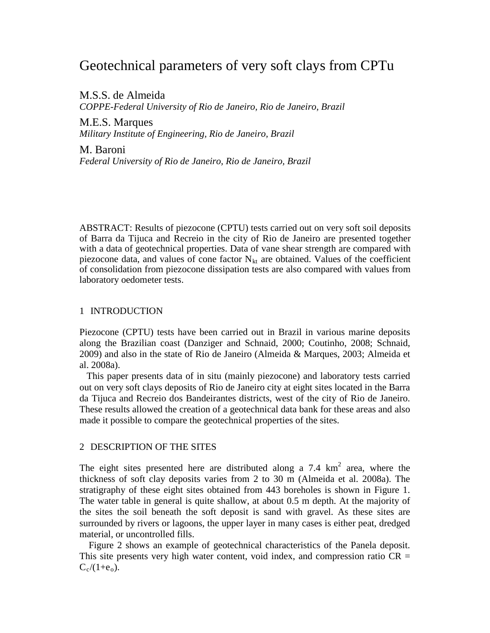# Geotechnical parameters of very soft clays from CPTu

M.S.S. de Almeida *COPPE-Federal University of Rio de Janeiro, Rio de Janeiro, Brazil*

M.E.S. Marques *Military Institute of Engineering, Rio de Janeiro, Brazil* 

M. Baroni *Federal University of Rio de Janeiro, Rio de Janeiro, Brazil*

ABSTRACT: Results of piezocone (CPTU) tests carried out on very soft soil deposits of Barra da Tijuca and Recreio in the city of Rio de Janeiro are presented together with a data of geotechnical properties. Data of vane shear strength are compared with piezocone data, and values of cone factor  $N_{kt}$  are obtained. Values of the coefficient of consolidation from piezocone dissipation tests are also compared with values from laboratory oedometer tests.

## 1 INTRODUCTION

Piezocone (CPTU) tests have been carried out in Brazil in various marine deposits along the Brazilian coast (Danziger and Schnaid, 2000; Coutinho, 2008; Schnaid, 2009) and also in the state of Rio de Janeiro (Almeida & Marques, 2003; Almeida et al. 2008a).

 This paper presents data of in situ (mainly piezocone) and laboratory tests carried out on very soft clays deposits of Rio de Janeiro city at eight sites located in the Barra da Tijuca and Recreio dos Bandeirantes districts, west of the city of Rio de Janeiro. These results allowed the creation of a geotechnical data bank for these areas and also made it possible to compare the geotechnical properties of the sites.

## 2 DESCRIPTION OF THE SITES

The eight sites presented here are distributed along a 7.4  $\text{km}^2$  area, where the thickness of soft clay deposits varies from 2 to 30 m (Almeida et al. 2008a). The stratigraphy of these eight sites obtained from 443 boreholes is shown in Figure 1. The water table in general is quite shallow, at about 0.5 m depth. At the majority of the sites the soil beneath the soft deposit is sand with gravel. As these sites are surrounded by rivers or lagoons, the upper layer in many cases is either peat, dredged material, or uncontrolled fills.

Figure 2 shows an example of geotechnical characteristics of the Panela deposit. This site presents very high water content, void index, and compression ratio  $CR =$  $C_c/(1+e_0)$ .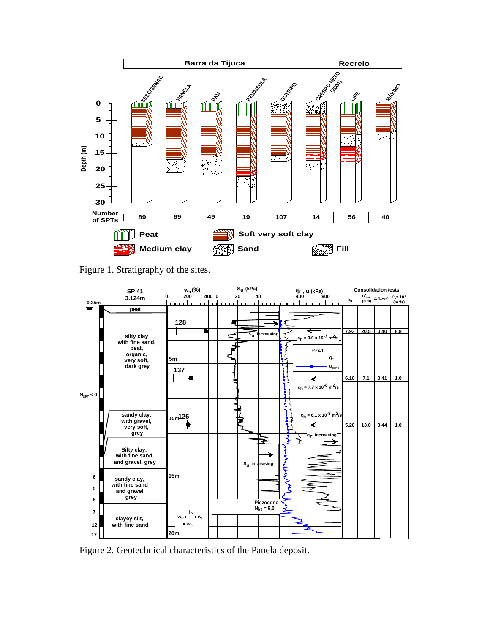

Figure 1. Stratigraphy of the sites.



Figure 2. Geotechnical characteristics of the Panela deposit.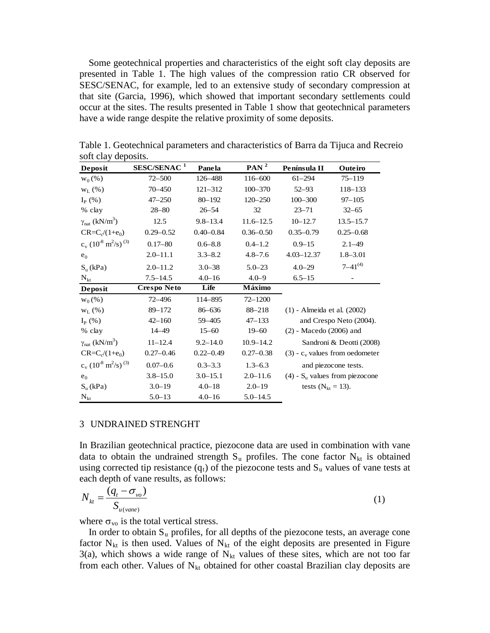Some geotechnical properties and characteristics of the eight soft clay deposits are presented in Table 1. The high values of the compression ratio CR observed for SESC/SENAC, for example, led to an extensive study of secondary compression at that site (Garcia, 1996), which showed that important secondary settlements could occur at the sites. The results presented in Table 1 show that geotechnical parameters have a wide range despite the relative proximity of some deposits.

| Deposit                                                   | SESC/SENAC <sup>1</sup> | Panela        | PAN <sup>2</sup> | Península II                                 | Outeiro        |
|-----------------------------------------------------------|-------------------------|---------------|------------------|----------------------------------------------|----------------|
| $W_0(% )$                                                 | $72 - 500$              | 126-488       | 116-600          | $61 - 294$                                   | $75 - 119$     |
| $W_L$ (%)                                                 | 70 - 450                | $121 - 312$   | $100 - 370$      | $52 - 93$                                    | 118-133        |
| $I_{P}$ (%)                                               | $47 - 250$              | $80 - 192$    | $120 - 250$      | $100 - 300$                                  | $97 - 105$     |
| % clay                                                    | $28 - 80$               | $26 - 54$     | 32               | $23 - 71$                                    | $32 - 65$      |
| $\gamma_{nat}$ (kN/m <sup>3</sup> )                       | 12.5                    | $9.8 - 13.4$  | $11.6 - 12.5$    | $10 - 12.7$                                  | $13.5 - 15.7$  |
| $CR = C_c/(1 + e_0)$                                      | $0.29 - 0.52$           | $0.40 - 0.84$ | $0.36 - 0.50$    | $0.35 - 0.79$                                | $0.25 - 0.68$  |
| $c_v$ (10 <sup>-8</sup> m <sup>2</sup> /s) <sup>(3)</sup> | $0.17 - 80$             | $0.6 - 8.8$   | $0.4 - 1.2$      | $0.9 - 15$                                   | $2.1 - 49$     |
| $e_0$                                                     | $2.0 - 11.1$            | $3.3 - 8.2$   | $4.8 - 7.6$      | $4.03 - 12.37$                               | $1.8 - 3.01$   |
| $S_u$ (kPa)                                               | $2.0 - 11.2$            | $3.0 - 38$    | $5.0 - 23$       | $4.0 - 29$                                   | $7 - 41^{(4)}$ |
| $N_{kt}$                                                  | $7.5 - 14.5$            | $4.0 - 16$    | $4.0 - 9$        | $6.5 - 15$                                   |                |
| Deposit                                                   | <b>Crespo Neto</b>      | Life          | Máximo           |                                              |                |
| $W_0(\%)$                                                 | $72 - 496$              | 114-895       | $72 - 1200$      |                                              |                |
| $W_{L}(% )$                                               | 89-172                  | 86-636        | 88-218           | (1) - Almeida et al. (2002)                  |                |
| $I_{P}$ (%)                                               | $42 - 160$              | 59 - 405      | $47 - 133$       | and Crespo Neto (2004).                      |                |
| % clay                                                    | 14 - 49                 | $15 - 60$     | $19 - 60$        | $(2)$ - Macedo $(2006)$ and                  |                |
| $\gamma_{nat}$ (kN/m <sup>3</sup> )                       | $11 - 12.4$             | $9.2 - 14.0$  | $10.9 - 14.2$    | Sandroni & Deotti (2008).                    |                |
| $CR = C_c/(1 + e_0)$                                      | $0.27 - 0.46$           | $0.22 - 0.49$ | $0.27 - 0.38$    | $(3)$ - $c_v$ values from oedometer          |                |
| $c_v$ (10 <sup>-8</sup> m <sup>2</sup> /s) <sup>(3)</sup> | $0.07 - 0.6$            | $0.3 - 3.3$   | $1.3 - 6.3$      | and piezocone tests.                         |                |
| $e_0$                                                     | $3.8 - 15.0$            | $3.0 - 15.1$  | $2.0 - 11.6$     | $(4)$ - S <sub>u</sub> values from piezocone |                |
| $S_u(kPa)$                                                | $3.0 - 19$              | $4.0 - 18$    | $2.0 - 19$       | tests ( $N_{kt} = 13$ ).                     |                |
| $N_{kt}$                                                  | $5.0 - 13$              | $4.0 - 16$    | $5.0 - 14.5$     |                                              |                |

Table 1. Geotechnical parameters and characteristics of Barra da Tijuca and Recreio soft clay deposits.

### 3 UNDRAINED STRENGHT

In Brazilian geotechnical practice, piezocone data are used in combination with vane data to obtain the undrained strength  $S_u$  profiles. The cone factor  $N_{kt}$  is obtained using corrected tip resistance  $(q_t)$  of the piezocone tests and  $S_u$  values of vane tests at each depth of vane results, as follows:

$$
N_{kt} = \frac{(q_t - \sigma_{vo})}{S_{u(vane)}}\tag{1}
$$

where  $\sigma_{\rm vo}$  is the total vertical stress.

In order to obtain  $S_u$  profiles, for all depths of the piezocone tests, an average cone factor  $N_{kt}$  is then used. Values of  $N_{kt}$  of the eight deposits are presented in Figure 3(a), which shows a wide range of  $N_{kt}$  values of these sites, which are not too far from each other. Values of  $N_{kt}$  obtained for other coastal Brazilian clay deposits are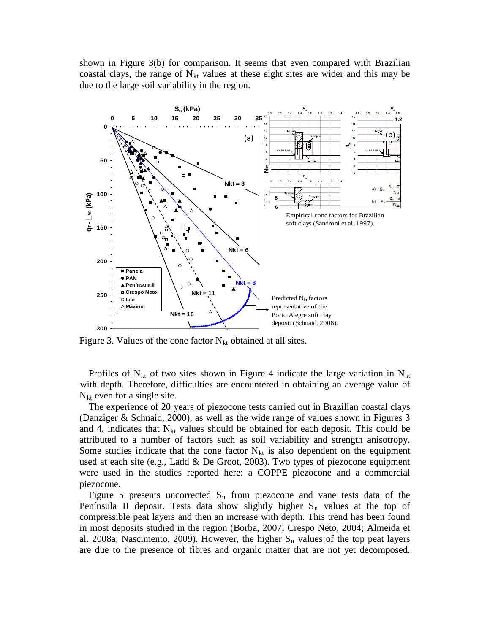shown in Figure 3(b) for comparison. It seems that even compared with Brazilian coastal clays, the range of  $N<sub>kt</sub>$  values at these eight sites are wider and this may be due to the large soil variability in the region.



Figure 3. Values of the cone factor  $N_{kt}$  obtained at all sites.

Profiles of  $N_{kt}$  of two sites shown in Figure 4 indicate the large variation in  $N_{kt}$ with depth. Therefore, difficulties are encountered in obtaining an average value of  $N<sub>kt</sub>$  even for a single site.

The experience of 20 years of piezocone tests carried out in Brazilian coastal clays (Danziger & Schnaid, 2000), as well as the wide range of values shown in Figures 3 and 4, indicates that  $N_{kt}$  values should be obtained for each deposit. This could be attributed to a number of factors such as soil variability and strength anisotropy. Some studies indicate that the cone factor  $N_{kt}$  is also dependent on the equipment used at each site (e.g., Ladd & De Groot, 2003). Two types of piezocone equipment were used in the studies reported here: a COPPE piezocone and a commercial piezocone.

Figure 5 presents uncorrected  $S_u$  from piezocone and vane tests data of the Península II deposit. Tests data show slightly higher  $S<sub>u</sub>$  values at the top of compressible peat layers and then an increase with depth. This trend has been found in most deposits studied in the region (Borba, 2007; Crespo Neto, 2004; Almeida et al. 2008a; Nascimento, 2009). However, the higher  $S<sub>u</sub>$  values of the top peat layers are due to the presence of fibres and organic matter that are not yet decomposed.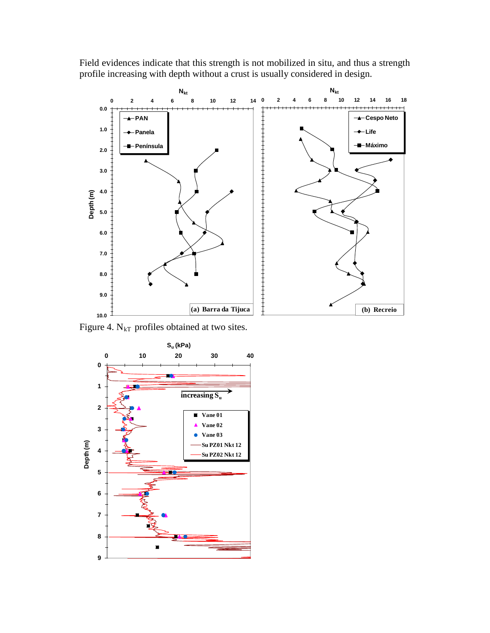

Field evidences indicate that this strength is not mobilized in situ, and thus a strength profile increasing with depth without a crust is usually considered in design.

Figure 4.  $N_{kT}$  profiles obtained at two sites.

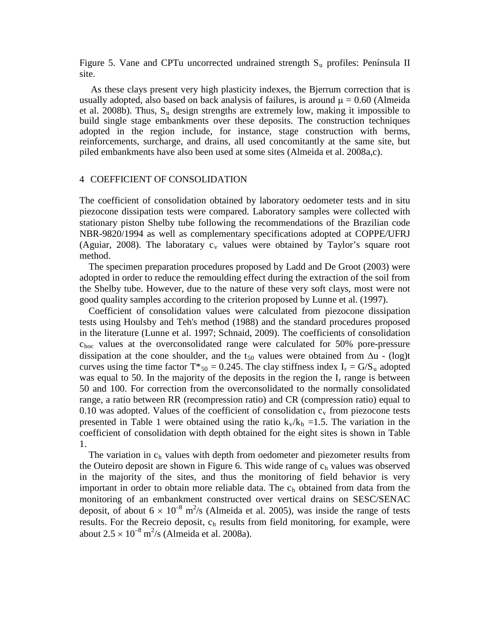Figure 5. Vane and CPTu uncorrected undrained strength  $S_u$  profiles: Península II site.

As these clays present very high plasticity indexes, the Bjerrum correction that is usually adopted, also based on back analysis of failures, is around  $\mu = 0.60$  (Almeida et al. 2008b). Thus, S <sup>u</sup> design strengths are extremely low, making it impossible to build single stage embankments over these deposits. The construction techniques adopted in the region include, for instance, stage construction with berms, reinforcements, surcharge, and drains, all used concomitantly at the same site, but piled embankments have also been used at some sites (Almeida et al. 2008a,c).

#### 4 COEFFICIENT OF CONSOLIDATION

The coefficient of consolidation obtained by laboratory oedometer tests and in situ piezocone dissipation tests were compared. Laboratory samples were collected with stationary piston Shelby tube following the recommendations of the Brazilian code NBR-9820/1994 as well as complementary specifications adopted at COPPE/UFRJ (Aguiar, 2008). The laboratary  $c_v$  values were obtained by Taylor's square root method.

The specimen preparation procedures proposed by Ladd and De Groot (2003) were adopted in order to reduce the remoulding effect during the extraction of the soil from the Shelby tube. However, due to the nature of these very soft clays, most were not good quality samples according to the criterion proposed by Lunne et al. (1997).

Coefficient of consolidation values were calculated from piezocone dissipation tests using Houlsby and Teh's method (1988) and the standard procedures proposed in the literature (Lunne et al. 1997; Schnaid, 2009). The coefficients of consolidation choc values at the overconsolidated range were calculated for 50% pore-pressure dissipation at the cone shoulder, and the t<sub>50</sub> values were obtained from  $\Delta u$  - (log)t curves using the time factor  $T^*_{50} = 0.245$ . The clay stiffness index  $I_r = G/S_u$  adopted was equal to 50. In the majority of the deposits in the region the  $I_r$  range is between 50 and 100. For correction from the overconsolidated to the normally consolidated range, a ratio between RR (recompression ratio) and CR (compression ratio) equal to 0.10 was adopted. Values of the coefficient of consolidation  $c_v$  from piezocone tests presented in Table 1 were obtained using the ratio  $k_v/k_h = 1.5$ . The variation in the coefficient of consolidation with depth obtained for the eight sites is shown in Table 1.

The variation in  $c<sub>h</sub>$  values with depth from oedometer and piezometer results from the Outeiro deposit are shown in Figure 6. This wide range of  $c<sub>h</sub>$  values was observed in the majority of the sites, and thus the monitoring of field behavior is very important in order to obtain more reliable data. The  $c<sub>h</sub>$  obtained from data from the monitoring of an embankment constructed over vertical drains on SESC/SENAC deposit, of about  $6 \times 10^{-8}$  m<sup>2</sup>/s (Almeida et al. 2005), was inside the range of tests results. For the Recreio deposit,  $c_h$  results from field monitoring, for example, were about  $2.5 \times 10^{-8}$  m<sup>2</sup>/s (Almeida et al. 2008a).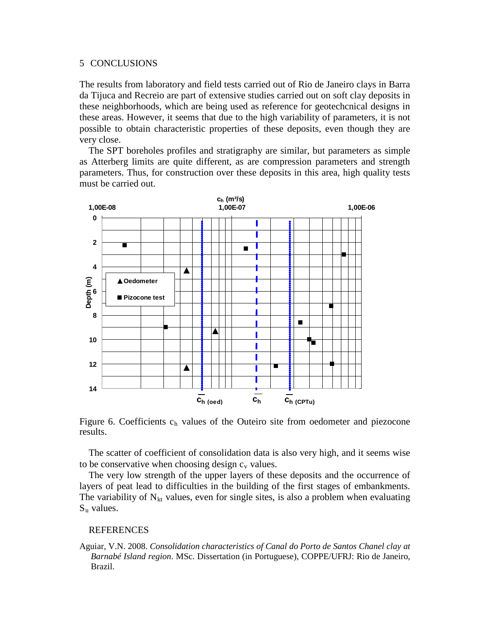### 5 CONCLUSIONS

The results from laboratory and field tests carried out of Rio de Janeiro clays in Barra da Tijuca and Recreio are part of extensive studies carried out on soft clay deposits in these neighborhoods, which are being used as reference for geotechcnical designs in these areas. However, it seems that due to the high variability of parameters, it is not possible to obtain characteristic properties of these deposits, even though they are very close.

The SPT boreholes profiles and stratigraphy are similar, but parameters as simple as Atterberg limits are quite different, as are compression parameters and strength parameters. Thus, for construction over these deposits in this area, high quality tests must be carried out.



Figure 6. Coefficients  $c<sub>h</sub>$  values of the Outeiro site from oedometer and piezocone results.

The scatter of coefficient of consolidation data is also very high, and it seems wise to be conservative when choosing design  $c_v$  values.

The very low strength of the upper layers of these deposits and the occurrence of layers of peat lead to difficulties in the building of the first stages of embankments. The variability of  $N_{kt}$  values, even for single sites, is also a problem when evaluating  $S_u$  values.

## **REFERENCES**

Aguiar, V.N. 2008. *Consolidation characteristics of Canal do Porto de Santos Chanel clay at Barnabé Island region*. MSc. Dissertation (in Portuguese), COPPE/UFRJ: Rio de Janeiro, Brazil.